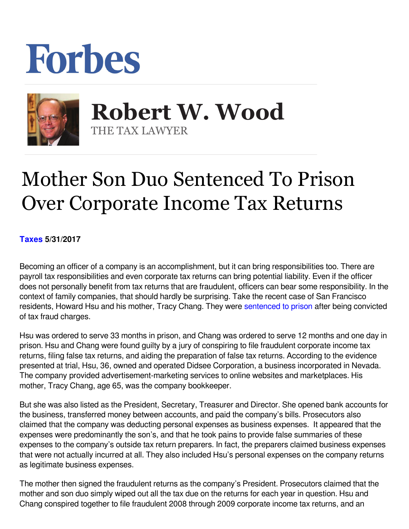## Forbes



 **Robert W. Wood** THE TAX LAWYER

## Mother Son Duo Sentenced To Prison Over Corporate Income Tax Returns

**[Taxes](https://www.forbes.com/taxes) 5/31/2017** 

Becoming an officer of a company is an accomplishment, but it can bring responsibilities too. There are payroll tax responsibilities and even corporate tax returns can bring potential liability. Even if the officer does not personally benefit from tax returns that are fraudulent, officers can bear some responsibility. In the context of family companies, that should hardly be surprising. Take the recent case of San Francisco residents, Howard Hsu and his mother, Tracy Chang. They were [sentenced to prison](https://www.justice.gov/opa/pr/california-mother-and-son-sentenced-prison-fraudulent-corporate-tax-returns) after being convicted of tax fraud charges.

Hsu was ordered to serve 33 months in prison, and Chang was ordered to serve 12 months and one day in prison. Hsu and Chang were found guilty by a jury of conspiring to file fraudulent corporate income tax returns, filing false tax returns, and aiding the preparation of false tax returns. According to the evidence presented at trial, Hsu, 36, owned and operated Didsee Corporation, a business incorporated in Nevada. The company provided advertisement-marketing services to online websites and marketplaces. His mother, Tracy Chang, age 65, was the company bookkeeper.

But she was also listed as the President, Secretary, Treasurer and Director. She opened bank accounts for the business, transferred money between accounts, and paid the company's bills. Prosecutors also claimed that the company was deducting personal expenses as business expenses. It appeared that the expenses were predominantly the son's, and that he took pains to provide false summaries of these expenses to the company's outside tax return preparers. In fact, the preparers claimed business expenses that were not actually incurred at all. They also included Hsu's personal expenses on the company returns as legitimate business expenses.

The mother then signed the fraudulent returns as the company's President. Prosecutors claimed that the mother and son duo simply wiped out all the tax due on the returns for each year in question. Hsu and Chang conspired together to file fraudulent 2008 through 2009 corporate income tax returns, and an